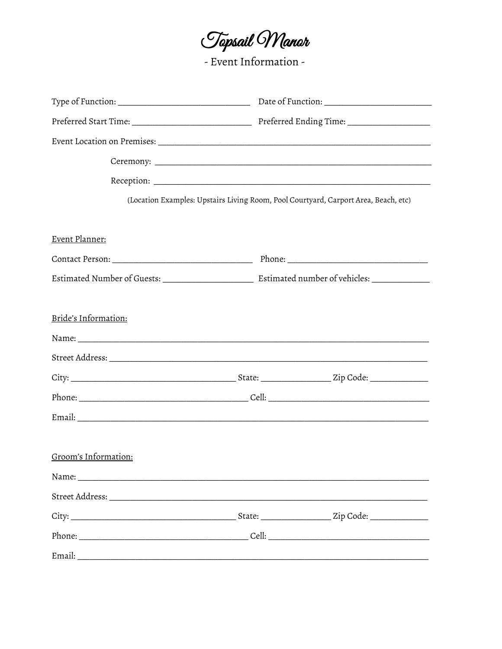Tapsail Wanar

- Event Information -

|                      |  | (Location Examples: Upstairs Living Room, Pool Courtyard, Carport Area, Beach, etc) |  |  |
|----------------------|--|-------------------------------------------------------------------------------------|--|--|
|                      |  |                                                                                     |  |  |
| Event Planner:       |  |                                                                                     |  |  |
|                      |  |                                                                                     |  |  |
|                      |  |                                                                                     |  |  |
|                      |  |                                                                                     |  |  |
| Bride's Information: |  |                                                                                     |  |  |
|                      |  |                                                                                     |  |  |
|                      |  |                                                                                     |  |  |
|                      |  |                                                                                     |  |  |
|                      |  |                                                                                     |  |  |
|                      |  |                                                                                     |  |  |
|                      |  |                                                                                     |  |  |
| Groom's Information: |  |                                                                                     |  |  |
|                      |  |                                                                                     |  |  |
|                      |  |                                                                                     |  |  |
|                      |  |                                                                                     |  |  |
|                      |  |                                                                                     |  |  |
| Email:               |  |                                                                                     |  |  |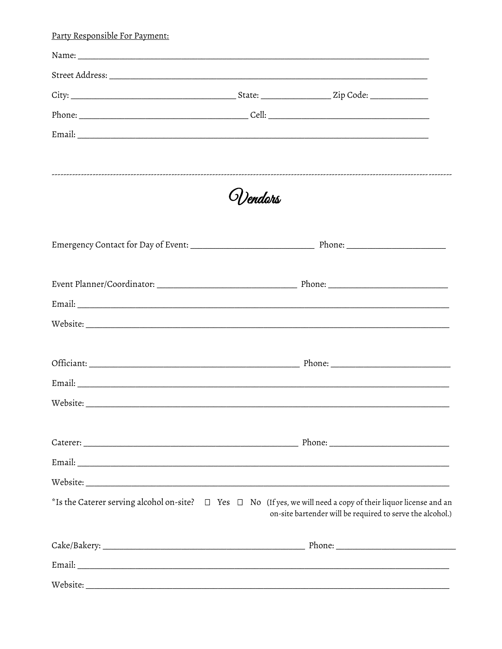| Party Responsible For Payment: |           |                                                                                                                                                                                        |
|--------------------------------|-----------|----------------------------------------------------------------------------------------------------------------------------------------------------------------------------------------|
|                                |           |                                                                                                                                                                                        |
|                                |           |                                                                                                                                                                                        |
|                                |           |                                                                                                                                                                                        |
|                                |           |                                                                                                                                                                                        |
|                                |           |                                                                                                                                                                                        |
|                                | 5])endors |                                                                                                                                                                                        |
|                                |           |                                                                                                                                                                                        |
|                                |           |                                                                                                                                                                                        |
|                                |           |                                                                                                                                                                                        |
|                                |           |                                                                                                                                                                                        |
|                                |           |                                                                                                                                                                                        |
|                                |           |                                                                                                                                                                                        |
|                                |           |                                                                                                                                                                                        |
|                                |           |                                                                                                                                                                                        |
|                                |           |                                                                                                                                                                                        |
|                                |           |                                                                                                                                                                                        |
|                                |           | *Is the Caterer serving alcohol on-site? $\Box$ Yes $\Box$ No (If yes, we will need a copy of their liquor license and an<br>on-site bartender will be required to serve the alcohol.) |
|                                |           |                                                                                                                                                                                        |
|                                |           |                                                                                                                                                                                        |
|                                |           |                                                                                                                                                                                        |